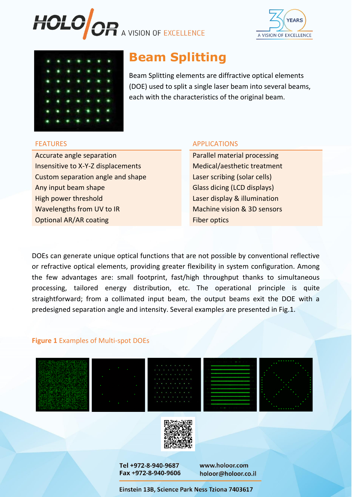





# **Beam Splitting**

Beam Splitting elements are diffractive optical elements (DOE) used to split a single laser beam into several beams, each with the characteristics of the original beam.

Accurate angle separation **Parallel material processing** Insensitive to X-Y-Z displacements Medical/aesthetic treatment Custom separation angle and shape Laser scribing (solar cells) Any input beam shape Glass dicing (LCD displays) High power threshold **Laser display & illumination** Wavelengths from UV to IR Machine vision & 3D sensors **Optional AR/AR coating Fiber optics** 

#### FEATURES APPLICATIONS

DOEs can generate unique optical functions that are not possible by conventional reflective or refractive optical elements, providing greater flexibility in system configuration. Among the few advantages are: small footprint, fast/high throughput thanks to simultaneous processing, tailored energy distribution, etc. The operational principle is quite straightforward; from a collimated input beam, the output beams exit the DOE with a predesigned separation angle and intensity. Several examples are presented in Fig.1.

## **Figure 1** Examples of Multi-spot DOEs











Tel +972-8-940-9687 Fax +972-8-940-9606 www.holoor.com holoor@holoor.co.il

Einstein 13B, Science Park Ness Tziona 7403617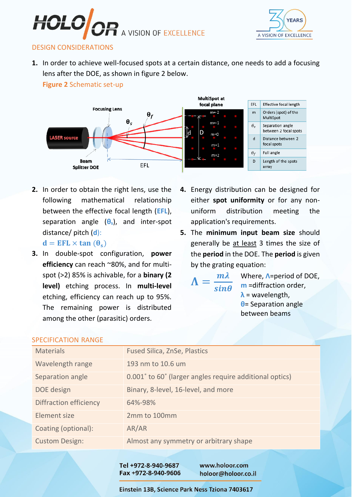



## DESIGN CONSIDERATIONS

**1.** In order to achieve well-focused spots at a certain distance, one needs to add a focusing lens after the DOE, as shown in figure 2 below.

**Figure 2** Schematic set-up



**2.** In order to obtain the right lens, use the following mathematical relationship between the effective focal length (**EFL**), separation angle (**θs**), and inter-spot distance/ pitch (**d**):

 $d = EFL \times tan(\theta_s)$ 

- **3.** In double-spot configuration, **power efficiency** can reach ~80%, and for multispot (>2) 85% is achivable, for a **binary (2 level)** etching process. In **multi-level**  etching, efficiency can reach up to 95%. The remaining power is distributed among the other (parasitic) orders.
- **4.** Energy distribution can be designed for either **spot uniformity** or for any nonuniform distribution meeting the application's requirements.
- **5.** The **minimum input beam size** should generally be at least 3 times the size of the **period** in the DOE. The **period** is given by the grating equation:

 $\Lambda =$  $m\lambda$  $sin\theta$ 

Where, **Λ**=period of DOE, **m** =diffraction order, **λ** = wavelength, **θ**= Separation angle between beams

| JI LUILIUATIUN INTIVUL        |                                                         |
|-------------------------------|---------------------------------------------------------|
| <b>Materials</b>              | <b>Fused Silica, ZnSe, Plastics</b>                     |
| Wavelength range              | 193 nm to 10.6 um                                       |
| Separation angle              | 0.001° to 60° (larger angles require additional optics) |
| DOE design                    | Binary, 8-level, 16-level, and more                     |
| <b>Diffraction efficiency</b> | 64%-98%                                                 |
| Element size                  | 2mm to 100mm                                            |
| Coating (optional):           | AR/AR                                                   |
| <b>Custom Design:</b>         | Almost any symmetry or arbitrary shape                  |
|                               |                                                         |

### SPECIFICATION RANGE

Tel +972-8-940-9687 Fax +972-8-940-9606 www.holoor.com holoor@holoor.co.il

Einstein 13B, Science Park Ness Tziona 7403617